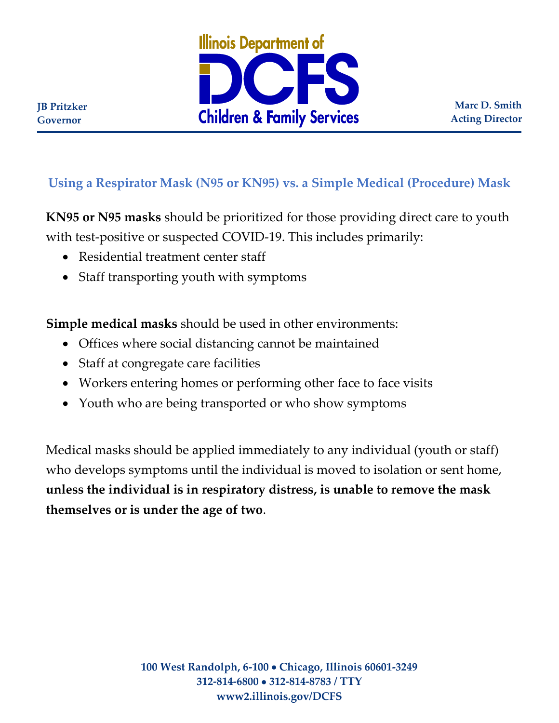

**Marc D. Smith Acting Director**

## **Using a Respirator Mask (N95 or KN95) vs. a Simple Medical (Procedure) Mask**

**KN95 or N95 masks** should be prioritized for those providing direct care to youth with test-positive or suspected COVID-19. This includes primarily:

- Residential treatment center staff
- Staff transporting youth with symptoms

**Simple medical masks** should be used in other environments:

- Offices where social distancing cannot be maintained
- Staff at congregate care facilities
- Workers entering homes or performing other face to face visits
- Youth who are being transported or who show symptoms

Medical masks should be applied immediately to any individual (youth or staff) who develops symptoms until the individual is moved to isolation or sent home, **unless the individual is in respiratory distress, is unable to remove the mask themselves or is under the age of two**.